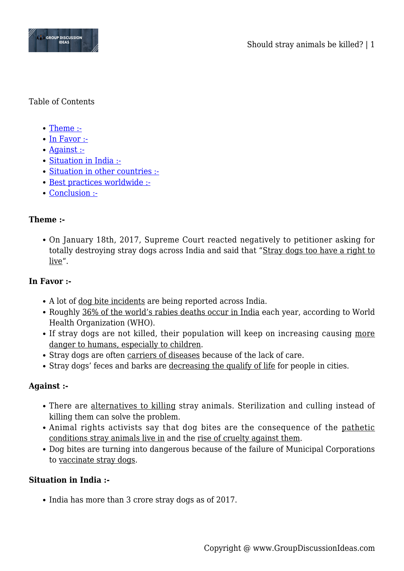

### Table of Contents

- [Theme :-](#page--1-0)
- [In Favor :-](#page--1-0)
- [Against :-](#page--1-0)
- [Situation in India :-](#page--1-0)
- [Situation in other countries :-](#page--1-0)
- [Best practices worldwide :-](#page--1-0)
- [Conclusion :-](#page--1-0)

## **Theme :-**

On January 18th, 2017, Supreme Court reacted negatively to petitioner asking for totally destroying stray dogs across India and said that "Stray dogs too have a right to live".

## **In Favor :-**

- A lot of dog bite incidents are being reported across India.
- Roughly 36% of the world's rabies deaths occur in India each year, according to World Health Organization (WHO).
- If stray dogs are not killed, their population will keep on increasing causing more danger to humans, especially to children.
- Stray dogs are often carriers of diseases because of the lack of care.
- Stray dogs' feces and barks are decreasing the qualify of life for people in cities.

## **Against :-**

- There are alternatives to killing stray animals. Sterilization and culling instead of killing them can solve the problem.
- Animal rights activists say that dog bites are the consequence of the pathetic conditions stray animals live in and the rise of cruelty against them.
- Dog bites are turning into dangerous because of the failure of Municipal Corporations to vaccinate stray dogs.

# **Situation in India :-**

• India has more than 3 crore stray dogs as of 2017.